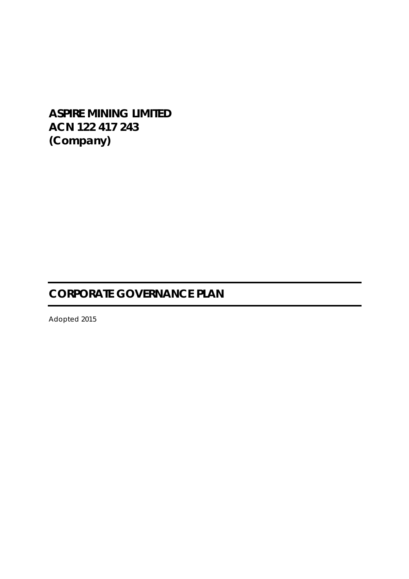# **ASPIRE MINING LIMITED ACN 122 417 243 (Company)**

# **CORPORATE GOVERNANCE PLAN**

Adopted 2015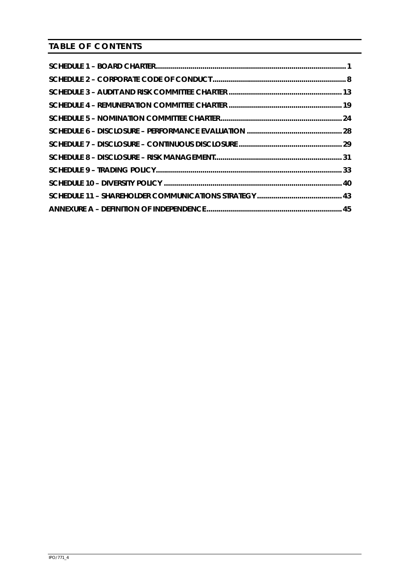**TABLE OF CONTENTS**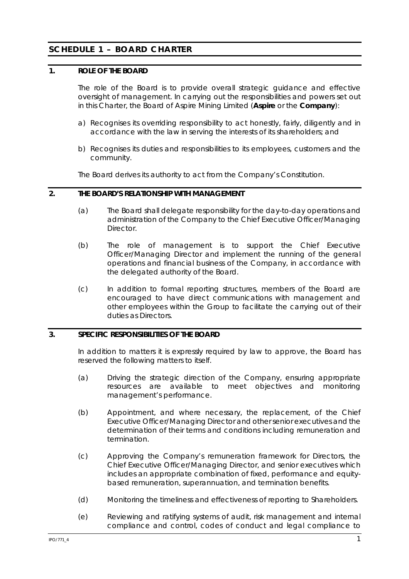# **SCHEDULE 1 – BOARD CHARTER**

### **1. ROLE OF THE BOARD**

The role of the Board is to provide overall strategic guidance and effective oversight of management. In carrying out the responsibilities and powers set out in this Charter, the Board of Aspire Mining Limited (**Aspire** or the **Company**):

- a) Recognises its overriding responsibility to act honestly, fairly, diligently and in accordance with the law in serving the interests of its shareholders; and
- b) Recognises its duties and responsibilities to its employees, customers and the community.

The Board derives its authority to act from the Company's Constitution.

### **2. THE BOARD'S RELATIONSHIP WITH MANAGEMENT**

- (a) The Board shall delegate responsibility for the day-to-day operations and administration of the Company to the Chief Executive Officer/Managing **Director**
- (b) The role of management is to support the Chief Executive Officer/Managing Director and implement the running of the general operations and financial business of the Company, in accordance with the delegated authority of the Board.
- (c) In addition to formal reporting structures, members of the Board are encouraged to have direct communications with management and other employees within the Group to facilitate the carrying out of their duties as Directors.

#### **3. SPECIFIC RESPONSIBILITIES OF THE BOARD**

In addition to matters it is expressly required by law to approve, the Board has reserved the following matters to itself.

- (a) Driving the strategic direction of the Company, ensuring appropriate resources are available to meet objectives and monitoring management's performance.
- (b) Appointment, and where necessary, the replacement, of the Chief Executive Officer/Managing Director and other senior executives and the determination of their terms and conditions including remuneration and termination.
- (c) Approving the Company's remuneration framework for Directors, the Chief Executive Officer/Managing Director, and senior executives which includes an appropriate combination of fixed, performance and equitybased remuneration, superannuation, and termination benefits.
- (d) Monitoring the timeliness and effectiveness of reporting to Shareholders.
- (e) Reviewing and ratifying systems of audit, risk management and internal compliance and control, codes of conduct and legal compliance to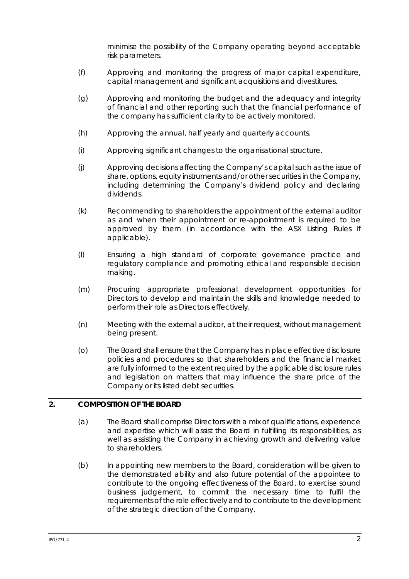minimise the possibility of the Company operating beyond acceptable risk parameters.

- (f) Approving and monitoring the progress of major capital expenditure, capital management and significant acquisitions and divestitures.
- (g) Approving and monitoring the budget and the adequacy and integrity of financial and other reporting such that the financial performance of the company has sufficient clarity to be actively monitored.
- (h) Approving the annual, half yearly and quarterly accounts.
- (i) Approving significant changes to the organisational structure.
- (j) Approving decisions affecting the Company's capital such as the issue of share, options, equity instruments and/or other securities in the Company, including determining the Company's dividend policy and declaring dividends.
- (k) Recommending to shareholders the appointment of the external auditor as and when their appointment or re-appointment is required to be approved by them (in accordance with the ASX Listing Rules if applicable).
- (l) Ensuring a high standard of corporate governance practice and regulatory compliance and promoting ethical and responsible decision making.
- (m) Procuring appropriate professional development opportunities for Directors to develop and maintain the skills and knowledge needed to perform their role as Directors effectively.
- (n) Meeting with the external auditor, at their request, without management being present.
- (o) The Board shall ensure that the Company has in place effective disclosure policies and procedures so that shareholders and the financial market are fully informed to the extent required by the applicable disclosure rules and legislation on matters that may influence the share price of the Company or its listed debt securities.

### **2. COMPOSITION OF THE BOARD**

- (a) The Board shall comprise Directors with a mix of qualifications, experience and expertise which will assist the Board in fulfilling its responsibilities, as well as assisting the Company in achieving growth and delivering value to shareholders.
- (b) In appointing new members to the Board, consideration will be given to the demonstrated ability and also future potential of the appointee to contribute to the ongoing effectiveness of the Board, to exercise sound business judgement, to commit the necessary time to fulfil the requirements of the role effectively and to contribute to the development of the strategic direction of the Company.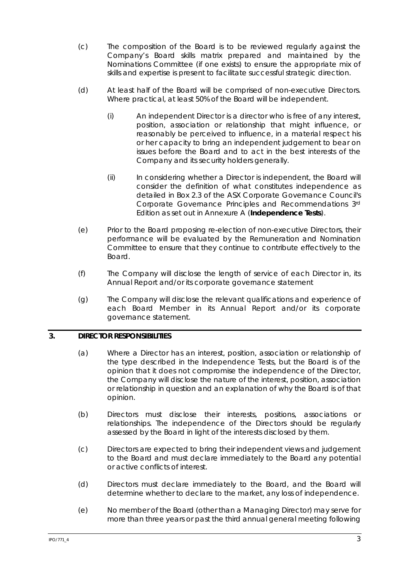- (c) The composition of the Board is to be reviewed regularly against the Company's Board skills matrix prepared and maintained by the Nominations Committee (if one exists) to ensure the appropriate mix of skills and expertise is present to facilitate successful strategic direction.
- (d) At least half of the Board will be comprised of non-executive Directors. Where practical, at least 50% of the Board will be independent.
	- (i) An independent Director is a director who is free of any interest, position, association or relationship that might influence, or reasonably be perceived to influence, in a material respect his or her capacity to bring an independent judgement to bear on issues before the Board and to act in the best interests of the Company and its security holders generally.
	- (ii) In considering whether a Director is independent, the Board will consider the definition of what constitutes independence as detailed in Box 2.3 of the ASX Corporate Governance Council's *Corporate Governance Principles and Recommendations 3rd Edition* as set out in Annexure A (**Independence Tests**).
- (e) Prior to the Board proposing re-election of non-executive Directors, their performance will be evaluated by the Remuneration and Nomination Committee to ensure that they continue to contribute effectively to the Board.
- (f) The Company will disclose the length of service of each Director in, its Annual Report and/or its corporate governance statement
- (g) The Company will disclose the relevant qualifications and experience of each Board Member in its Annual Report and/or its corporate governance statement.

### **3. DIRECTOR RESPONSIBILITIES**

- (a) Where a Director has an interest, position, association or relationship of the type described in the Independence Tests, but the Board is of the opinion that it does not compromise the independence of the Director, the Company will disclose the nature of the interest, position, association or relationship in question and an explanation of why the Board is of that opinion.
- (b) Directors must disclose their interests, positions, associations or relationships. The independence of the Directors should be regularly assessed by the Board in light of the interests disclosed by them.
- (c) Directors are expected to bring their independent views and judgement to the Board and must declare immediately to the Board any potential or active conflicts of interest.
- (d) Directors must declare immediately to the Board, and the Board will determine whether to declare to the market, any loss of independence.
- (e) No member of the Board (other than a Managing Director) may serve for more than three years or past the third annual general meeting following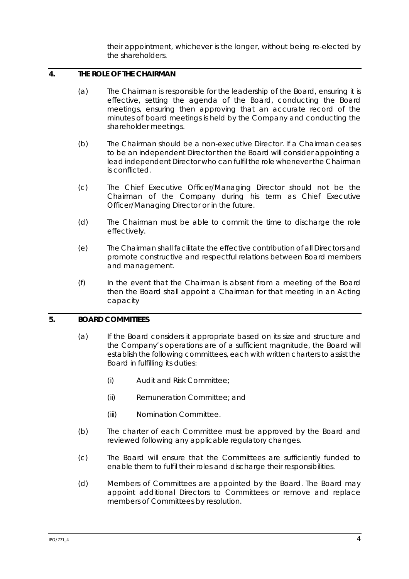their appointment, whichever is the longer, without being re-elected by the shareholders.

# **4. THE ROLE OF THE CHAIRMAN**

- (a) The Chairman is responsible for the leadership of the Board, ensuring it is effective, setting the agenda of the Board, conducting the Board meetings, ensuring then approving that an accurate record of the minutes of board meetings is held by the Company and conducting the shareholder meetings.
- (b) The Chairman should be a non-executive Director. If a Chairman ceases to be an independent Director then the Board will consider appointing a lead independent Director who can fulfil the role whenever the Chairman is conflicted.
- (c) The Chief Executive Officer/Managing Director should not be the Chairman of the Company during his term as Chief Executive Officer/Managing Director or in the future.
- (d) The Chairman must be able to commit the time to discharge the role effectively.
- (e) The Chairman shall facilitate the effective contribution of all Directors and promote constructive and respectful relations between Board members and management.
- (f) In the event that the Chairman is absent from a meeting of the Board then the Board shall appoint a Chairman for that meeting in an Acting capacity

### **5. BOARD COMMITTEES**

- (a) If the Board considers it appropriate based on its size and structure and the Company's operations are of a sufficient magnitude, the Board will establish the following committees, each with written charters to assist the Board in fulfilling its duties:
	- (i) Audit and Risk Committee;
	- (ii) Remuneration Committee; and
	- (iii) Nomination Committee.
- (b) The charter of each Committee must be approved by the Board and reviewed following any applicable regulatory changes.
- (c) The Board will ensure that the Committees are sufficiently funded to enable them to fulfil their roles and discharge their responsibilities.
- (d) Members of Committees are appointed by the Board. The Board may appoint additional Directors to Committees or remove and replace members of Committees by resolution.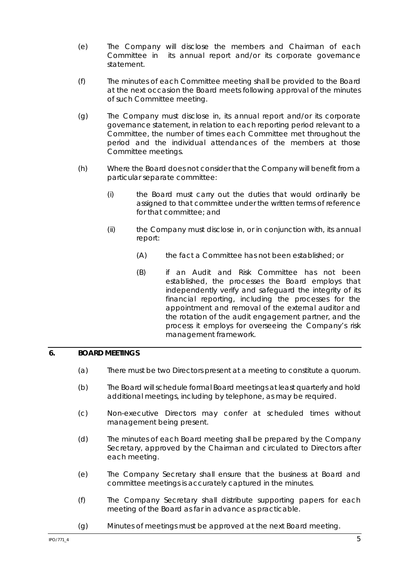- (e) The Company will disclose the members and Chairman of each Committee in its annual report and/or its corporate governance statement.
- (f) The minutes of each Committee meeting shall be provided to the Board at the next occasion the Board meets following approval of the minutes of such Committee meeting.
- (g) The Company must disclose in, its annual report and/or its corporate governance statement, in relation to each reporting period relevant to a Committee, the number of times each Committee met throughout the period and the individual attendances of the members at those Committee meetings.
- (h) Where the Board does not consider that the Company will benefit from a particular separate committee:
	- (i) the Board must carry out the duties that would ordinarily be assigned to that committee under the written terms of reference for that committee; and
	- (ii) the Company must disclose in, or in conjunction with, its annual report:
		- (A) the fact a Committee has not been established; or
		- (B) if an Audit and Risk Committee has not been established, the processes the Board employs that independently verify and safeguard the integrity of its financial reporting, including the processes for the appointment and removal of the external auditor and the rotation of the audit engagement partner, and the process it employs for overseeing the Company's risk management framework.

### **6. BOARD MEETINGS**

- (a) There must be two Directors present at a meeting to constitute a quorum.
- (b) The Board will schedule formal Board meetings at least quarterly and hold additional meetings, including by telephone, as may be required.
- (c) Non-executive Directors may confer at scheduled times without management being present.
- (d) The minutes of each Board meeting shall be prepared by the Company Secretary, approved by the Chairman and circulated to Directors after each meeting.
- (e) The Company Secretary shall ensure that the business at Board and committee meetings is accurately captured in the minutes.
- (f) The Company Secretary shall distribute supporting papers for each meeting of the Board as far in advance as practicable.
- (g) Minutes of meetings must be approved at the next Board meeting.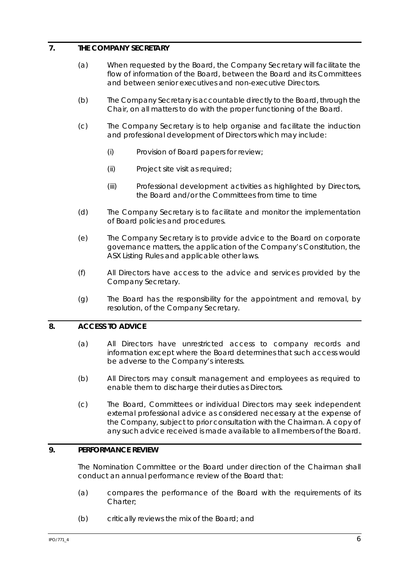### **7. THE COMPANY SECRETARY**

- (a) When requested by the Board, the Company Secretary will facilitate the flow of information of the Board, between the Board and its Committees and between senior executives and non-executive Directors.
- (b) The Company Secretary is accountable directly to the Board, through the Chair, on all matters to do with the proper functioning of the Board.
- (c) The Company Secretary is to help organise and facilitate the induction and professional development of Directors which may include:
	- (i) Provision of Board papers for review;
	- (ii) Project site visit as required;
	- (iii) Professional development activities as highlighted by Directors, the Board and/or the Committees from time to time
- (d) The Company Secretary is to facilitate and monitor the implementation of Board policies and procedures.
- (e) The Company Secretary is to provide advice to the Board on corporate governance matters, the application of the Company's Constitution, the ASX Listing Rules and applicable other laws.
- (f) All Directors have access to the advice and services provided by the Company Secretary.
- (g) The Board has the responsibility for the appointment and removal, by resolution, of the Company Secretary.

#### **8. ACCESS TO ADVICE**

- (a) All Directors have unrestricted access to company records and information except where the Board determines that such access would be adverse to the Company's interests.
- (b) All Directors may consult management and employees as required to enable them to discharge their duties as Directors.
- (c) The Board, Committees or individual Directors may seek independent external professional advice as considered necessary at the expense of the Company, subject to prior consultation with the Chairman. A copy of any such advice received is made available to all members of the Board.

# **9. PERFORMANCE REVIEW**

The Nomination Committee or the Board under direction of the Chairman shall conduct an annual performance review of the Board that:

- (a) compares the performance of the Board with the requirements of its Charter;
- (b) critically reviews the mix of the Board; and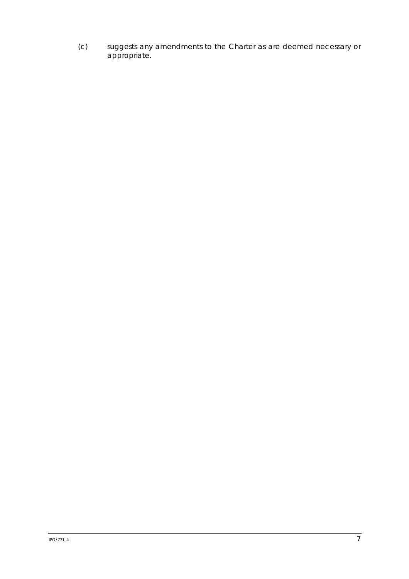(c) suggests any amendments to the Charter as are deemed necessary or appropriate.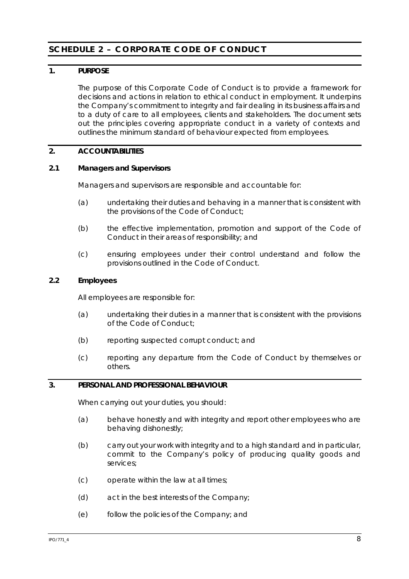# **SCHEDULE 2 – CORPORATE CODE OF CONDUCT**

# **1. PURPOSE**

The purpose of this Corporate Code of Conduct is to provide a framework for decisions and actions in relation to ethical conduct in employment. It underpins the Company's commitment to integrity and fair dealing in its business affairs and to a duty of care to all employees, clients and stakeholders. The document sets out the principles covering appropriate conduct in a variety of contexts and outlines the minimum standard of behaviour expected from employees.

### **2. ACCOUNTABILITIES**

### **2.1 Managers and Supervisors**

Managers and supervisors are responsible and accountable for:

- (a) undertaking their duties and behaving in a manner that is consistent with the provisions of the Code of Conduct;
- (b) the effective implementation, promotion and support of the Code of Conduct in their areas of responsibility; and
- (c) ensuring employees under their control understand and follow the provisions outlined in the Code of Conduct.

### **2.2 Employees**

All employees are responsible for:

- (a) undertaking their duties in a manner that is consistent with the provisions of the Code of Conduct;
- (b) reporting suspected corrupt conduct; and
- (c) reporting any departure from the Code of Conduct by themselves or others.

# **3. PERSONAL AND PROFESSIONAL BEHAVIOUR**

When carrying out your duties, you should:

- (a) behave honestly and with integrity and report other employees who are behaving dishonestly;
- (b) carry out your work with integrity and to a high standard and in particular, commit to the Company's policy of producing quality goods and services;
- (c) operate within the law at all times;
- (d) act in the best interests of the Company;
- (e) follow the policies of the Company; and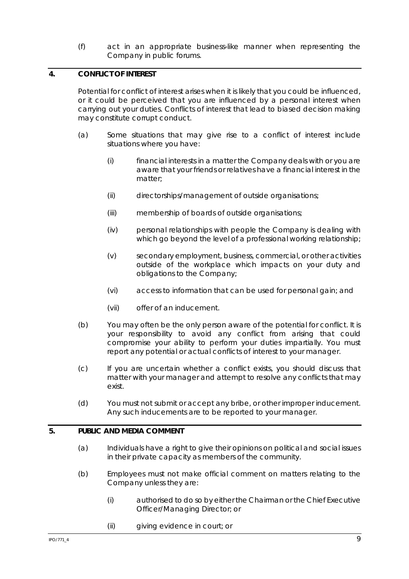(f) act in an appropriate business-like manner when representing the Company in public forums.

# **4. CONFLICT OF INTEREST**

Potential for conflict of interest arises when it is likely that you could be influenced, or it could be perceived that you are influenced by a personal interest when carrying out your duties. Conflicts of interest that lead to biased decision making may constitute corrupt conduct.

- (a) Some situations that may give rise to a conflict of interest include situations where you have:
	- (i) financial interests in a matter the Company deals with or you are aware that your friends or relatives have a financial interest in the matter;
	- (ii) directorships/management of outside organisations;
	- (iii) membership of boards of outside organisations;
	- (iv) personal relationships with people the Company is dealing with which go beyond the level of a professional working relationship;
	- (v) secondary employment, business, commercial, or other activities outside of the workplace which impacts on your duty and obligations to the Company;
	- (vi) access to information that can be used for personal gain; and
	- (vii) offer of an inducement.
- (b) You may often be the only person aware of the potential for conflict. It is your responsibility to avoid any conflict from arising that could compromise your ability to perform your duties impartially. You must report any potential or actual conflicts of interest to your manager.
- (c) If you are uncertain whether a conflict exists, you should discuss that matter with your manager and attempt to resolve any conflicts that may exist.
- (d) You must not submit or accept any bribe, or other improper inducement. Any such inducements are to be reported to your manager.

### **5. PUBLIC AND MEDIA COMMENT**

- (a) Individuals have a right to give their opinions on political and social issues in their private capacity as members of the community.
- (b) Employees must not make official comment on matters relating to the Company unless they are:
	- (i) authorised to do so by either the Chairman or the Chief Executive Officer/Managing Director; or
	- (ii) giving evidence in court; or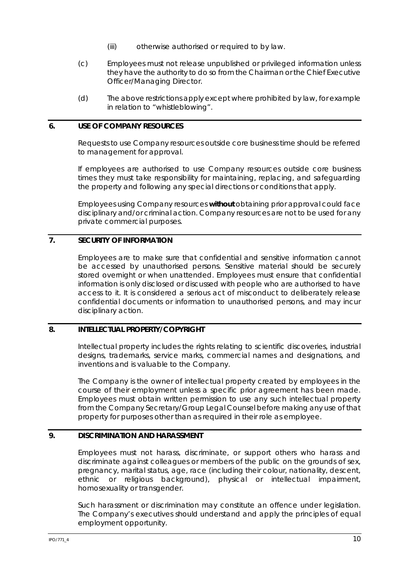- (iii) otherwise authorised or required to by law.
- (c) Employees must not release unpublished or privileged information unless they have the authority to do so from the Chairman or the Chief Executive Officer/Managing Director.
- (d) The above restrictions apply except where prohibited by law, for example in relation to "whistleblowing".

### **6. USE OF COMPANY RESOURCES**

Requests to use Company resources outside core business time should be referred to management for approval.

If employees are authorised to use Company resources outside core business times they must take responsibility for maintaining, replacing, and safeguarding the property and following any special directions or conditions that apply.

Employees using Company resources *without* obtaining prior approval could face disciplinary and/or criminal action. Company resources are not to be used for any private commercial purposes.

# **7. SECURITY OF INFORMATION**

Employees are to make sure that confidential and sensitive information cannot be accessed by unauthorised persons. Sensitive material should be securely stored overnight or when unattended. Employees must ensure that confidential information is only disclosed or discussed with people who are authorised to have access to it. It is considered a serious act of misconduct to deliberately release confidential documents or information to unauthorised persons, and may incur disciplinary action.

### **8. INTELLECTUAL PROPERTY/COPYRIGHT**

Intellectual property includes the rights relating to scientific discoveries, industrial designs, trademarks, service marks, commercial names and designations, and inventions and is valuable to the Company.

The Company is the owner of intellectual property created by employees in the course of their employment unless a specific prior agreement has been made. Employees must obtain written permission to use any such intellectual property from the Company Secretary/Group Legal Counsel before making any use of that property for purposes other than as required in their role as employee.

# **9. DISCRIMINATION AND HARASSMENT**

Employees must not harass, discriminate, or support others who harass and discriminate against colleagues or members of the public on the grounds of sex, pregnancy, marital status, age, race (including their colour, nationality, descent, ethnic or religious background), physical or intellectual impairment, homosexuality or transgender.

Such harassment or discrimination may constitute an offence under legislation. The Company's executives should understand and apply the principles of equal employment opportunity.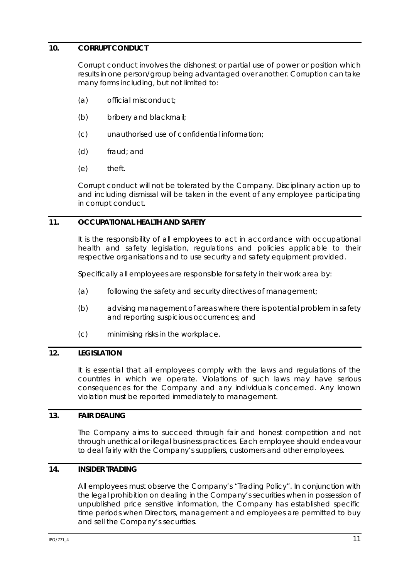### **10. CORRUPT CONDUCT**

Corrupt conduct involves the dishonest or partial use of power or position which results in one person/group being advantaged over another. Corruption can take many forms including, but not limited to:

- (a) official misconduct;
- (b) bribery and blackmail;
- (c) unauthorised use of confidential information;
- (d) fraud; and
- (e) theft.

Corrupt conduct will not be tolerated by the Company. Disciplinary action up to and including dismissal will be taken in the event of any employee participating in corrupt conduct.

### **11. OCCUPATIONAL HEALTH AND SAFETY**

It is the responsibility of all employees to act in accordance with occupational health and safety legislation, regulations and policies applicable to their respective organisations and to use security and safety equipment provided.

Specifically all employees are responsible for safety in their work area by:

- (a) following the safety and security directives of management;
- (b) advising management of areas where there is potential problem in safety and reporting suspicious occurrences; and
- (c) minimising risks in the workplace.

### **12. LEGISLATION**

It is essential that all employees comply with the laws and regulations of the countries in which we operate. Violations of such laws may have serious consequences for the Company and any individuals concerned. Any known violation must be reported immediately to management.

### **13. FAIR DEALING**

The Company aims to succeed through fair and honest competition and not through unethical or illegal business practices. Each employee should endeavour to deal fairly with the Company's suppliers, customers and other employees.

### **14. INSIDER TRADING**

All employees must observe the Company's "*Trading Policy*". In conjunction with the legal prohibition on dealing in the Company's securities when in possession of unpublished price sensitive information, the Company has established specific time periods when Directors, management and employees are permitted to buy and sell the Company's securities.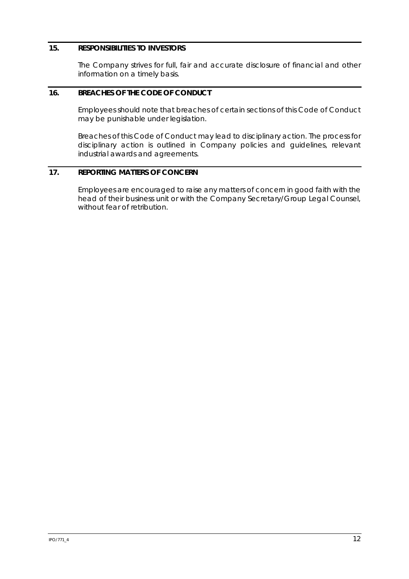### **15. RESPONSIBILITIES TO INVESTORS**

The Company strives for full, fair and accurate disclosure of financial and other information on a timely basis.

# **16. BREACHES OF THE CODE OF CONDUCT**

Employees should note that breaches of certain sections of this Code of Conduct may be punishable under legislation.

Breaches of this Code of Conduct may lead to disciplinary action. The process for disciplinary action is outlined in Company policies and guidelines, relevant industrial awards and agreements.

### **17. REPORTING MATTERS OF CONCERN**

Employees are encouraged to raise any matters of concern in good faith with the head of their business unit or with the Company Secretary/Group Legal Counsel, without fear of retribution.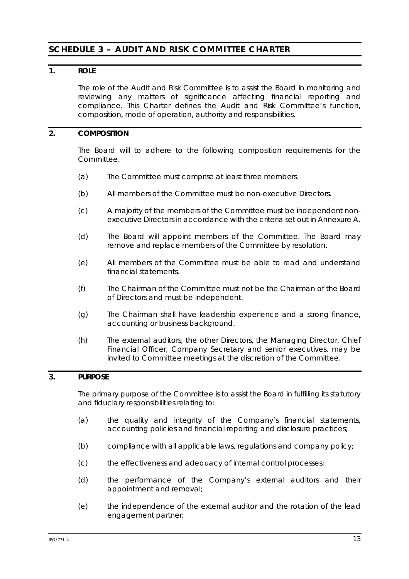# **SCHEDULE 3 – AUDIT AND RISK COMMITTEE CHARTER**

### **1. ROLE**

The role of the Audit and Risk Committee is to assist the Board in monitoring and reviewing any matters of significance affecting financial reporting and compliance. This Charter defines the Audit and Risk Committee's function, composition, mode of operation, authority and responsibilities.

### **2. COMPOSITION**

The Board will to adhere to the following composition requirements for the Committee.

- (a) The Committee must comprise at least three members.
- (b) All members of the Committee must be non-executive Directors.
- (c) A majority of the members of the Committee must be independent nonexecutive Directors in accordance with the criteria set out in Annexure A.
- (d) The Board will appoint members of the Committee. The Board may remove and replace members of the Committee by resolution.
- (e) All members of the Committee must be able to read and understand financial statements.
- (f) The Chairman of the Committee must not be the Chairman of the Board of Directors and must be independent.
- (g) The Chairman shall have leadership experience and a strong finance, accounting or business background.
- (h) The external auditors, the other Directors, the Managing Director, Chief Financial Officer, Company Secretary and senior executives, may be invited to Committee meetings at the discretion of the Committee.

### **3. PURPOSE**

The primary purpose of the Committee is to assist the Board in fulfilling its statutory and fiduciary responsibilities relating to:

- (a) the quality and integrity of the Company's financial statements, accounting policies and financial reporting and disclosure practices;
- (b) compliance with all applicable laws, regulations and company policy;
- (c) the effectiveness and adequacy of internal control processes;
- (d) the performance of the Company's external auditors and their appointment and removal;
- (e) the independence of the external auditor and the rotation of the lead engagement partner;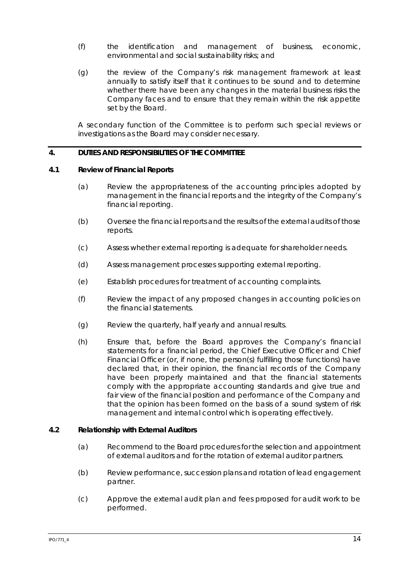- (f) the identification and management of business, economic, environmental and social sustainability risks; and
- (g) the review of the Company's risk management framework at least annually to satisfy itself that it continues to be sound and to determine whether there have been any changes in the material business risks the Company faces and to ensure that they remain within the risk appetite set by the Board.

A secondary function of the Committee is to perform such special reviews or investigations as the Board may consider necessary.

### **4. DUTIES AND RESPONSIBILITIES OF THE COMMITTEE**

### **4.1 Review of Financial Reports**

- (a) Review the appropriateness of the accounting principles adopted by management in the financial reports and the integrity of the Company's financial reporting.
- (b) Oversee the financial reports and the results of the external audits of those reports.
- (c) Assess whether external reporting is adequate for shareholder needs.
- (d) Assess management processes supporting external reporting.
- (e) Establish procedures for treatment of accounting complaints.
- (f) Review the impact of any proposed changes in accounting policies on the financial statements.
- (g) Review the quarterly, half yearly and annual results.
- (h) Ensure that, before the Board approves the Company's financial statements for a financial period, the Chief Executive Officer and Chief Financial Officer (or, if none, the person(s) fulfilling those functions) have declared that, in their opinion, the financial records of the Company have been properly maintained and that the financial statements comply with the appropriate accounting standards and give true and fair view of the financial position and performance of the Company and that the opinion has been formed on the basis of a sound system of risk management and internal control which is operating effectively.

#### **4.2 Relationship with External Auditors**

- (a) Recommend to the Board procedures for the selection and appointment of external auditors and for the rotation of external auditor partners.
- (b) Review performance, succession plans and rotation of lead engagement partner.
- (c) Approve the external audit plan and fees proposed for audit work to be performed.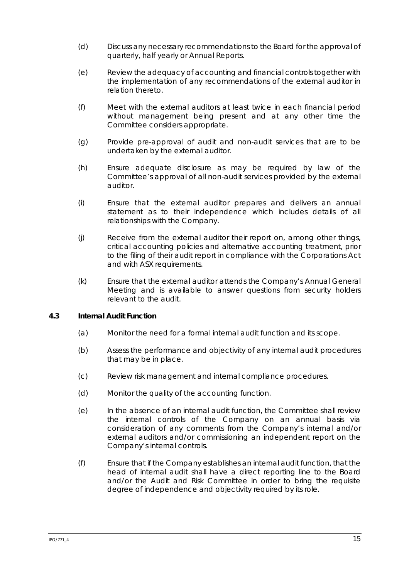- (d) Discuss any necessary recommendations to the Board for the approval of quarterly, half yearly or Annual Reports.
- (e) Review the adequacy of accounting and financial controls together with the implementation of any recommendations of the external auditor in relation thereto.
- (f) Meet with the external auditors at least twice in each financial period without management being present and at any other time the Committee considers appropriate.
- (g) Provide pre-approval of audit and non-audit services that are to be undertaken by the external auditor.
- (h) Ensure adequate disclosure as may be required by law of the Committee's approval of all non-audit services provided by the external auditor.
- (i) Ensure that the external auditor prepares and delivers an annual statement as to their independence which includes details of all relationships with the Company.
- (j) Receive from the external auditor their report on, among other things, critical accounting policies and alternative accounting treatment, prior to the filing of their audit report in compliance with the Corporations Act and with ASX requirements.
- (k) Ensure that the external auditor attends the Company's Annual General Meeting and is available to answer questions from security holders relevant to the audit.

### **4.3 Internal Audit Function**

- (a) Monitor the need for a formal internal audit function and its scope.
- (b) Assess the performance and objectivity of any internal audit procedures that may be in place.
- (c) Review risk management and internal compliance procedures.
- (d) Monitor the quality of the accounting function.
- (e) In the absence of an internal audit function, the Committee shall review the internal controls of the Company on an annual basis via consideration of any comments from the Company's internal and/or external auditors and/or commissioning an independent report on the Company's internal controls.
- (f) Ensure that if the Company establishes an internal audit function, that the head of internal audit shall have a direct reporting line to the Board and/or the Audit and Risk Committee in order to bring the requisite degree of independence and objectivity required by its role.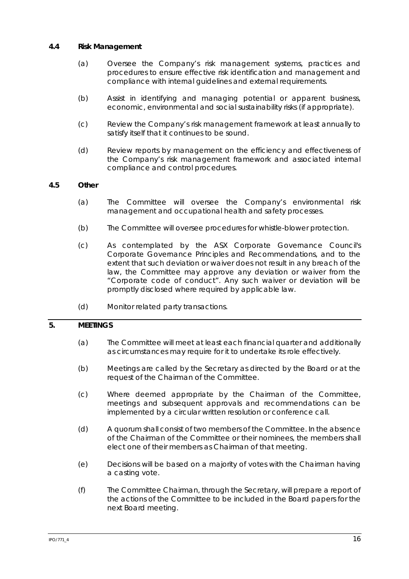### **4.4 Risk Management**

- (a) Oversee the Company's risk management systems, practices and procedures to ensure effective risk identification and management and compliance with internal guidelines and external requirements.
- (b) Assist in identifying and managing potential or apparent business, economic, environmental and social sustainability risks (if appropriate).
- (c) Review the Company's risk management framework at least annually to satisfy itself that it continues to be sound.
- (d) Review reports by management on the efficiency and effectiveness of the Company's risk management framework and associated internal compliance and control procedures.

### **4.5 Other**

- (a) The Committee will oversee the Company's environmental risk management and occupational health and safety processes.
- (b) The Committee will oversee procedures for whistle-blower protection.
- (c) As contemplated by the ASX Corporate Governance Council's *Corporate Governance Principles and Recommendations*, and to the extent that such deviation or waiver does not result in any breach of the law, the Committee may approve any deviation or waiver from the "*Corporate code of conduct*". Any such waiver or deviation will be promptly disclosed where required by applicable law.
- (d) Monitor related party transactions.

# **5. MEETINGS**

- (a) The Committee will meet at least each financial quarter and additionally as circumstances may require for it to undertake its role effectively.
- (b) Meetings are called by the Secretary as directed by the Board or at the request of the Chairman of the Committee.
- (c) Where deemed appropriate by the Chairman of the Committee, meetings and subsequent approvals and recommendations can be implemented by a circular written resolution or conference call.
- (d) A quorum shall consist of two members of the Committee. In the absence of the Chairman of the Committee or their nominees, the members shall elect one of their members as Chairman of that meeting.
- (e) Decisions will be based on a majority of votes with the Chairman having a casting vote.
- (f) The Committee Chairman, through the Secretary, will prepare a report of the actions of the Committee to be included in the Board papers for the next Board meeting.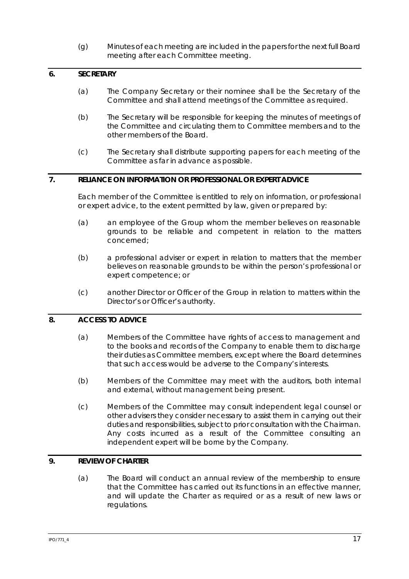(g) Minutes of each meeting are included in the papers for the next full Board meeting after each Committee meeting.

### **6. SECRETARY**

- (a) The Company Secretary or their nominee shall be the Secretary of the Committee and shall attend meetings of the Committee as required.
- (b) The Secretary will be responsible for keeping the minutes of meetings of the Committee and circulating them to Committee members and to the other members of the Board.
- (c) The Secretary shall distribute supporting papers for each meeting of the Committee as far in advance as possible.

## **7. RELIANCE ON INFORMATION OR PROFESSIONAL OR EXPERT ADVICE**

Each member of the Committee is entitled to rely on information, or professional or expert advice, to the extent permitted by law, given or prepared by:

- (a) an employee of the Group whom the member believes on reasonable grounds to be reliable and competent in relation to the matters concerned;
- (b) a professional adviser or expert in relation to matters that the member believes on reasonable grounds to be within the person's professional or expert competence; or
- (c) another Director or Officer of the Group in relation to matters within the Director's or Officer's authority.

### **8. ACCESS TO ADVICE**

- (a) Members of the Committee have rights of access to management and to the books and records of the Company to enable them to discharge their duties as Committee members, except where the Board determines that such access would be adverse to the Company's interests.
- (b) Members of the Committee may meet with the auditors, both internal and external, without management being present.
- (c) Members of the Committee may consult independent legal counsel or other advisers they consider necessary to assist them in carrying out their duties and responsibilities, subject to prior consultation with the Chairman. Any costs incurred as a result of the Committee consulting an independent expert will be borne by the Company.

### **9. REVIEW OF CHARTER**

(a) The Board will conduct an annual review of the membership to ensure that the Committee has carried out its functions in an effective manner, and will update the Charter as required or as a result of new laws or regulations.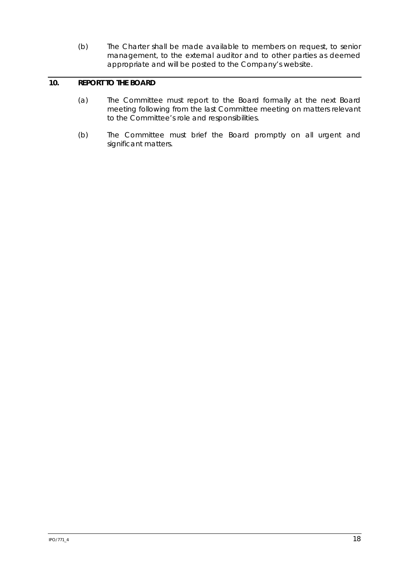(b) The Charter shall be made available to members on request, to senior management, to the external auditor and to other parties as deemed appropriate and will be posted to the Company's website.

# **10. REPORT TO THE BOARD**

- (a) The Committee must report to the Board formally at the next Board meeting following from the last Committee meeting on matters relevant to the Committee's role and responsibilities.
- (b) The Committee must brief the Board promptly on all urgent and significant matters.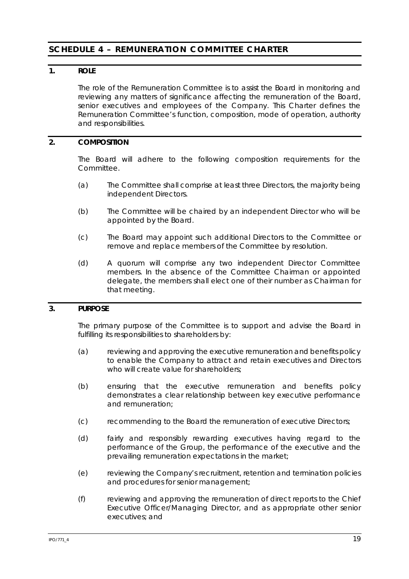# **SCHEDULE 4 – REMUNERATION COMMITTEE CHARTER**

### **1. ROLE**

The role of the Remuneration Committee is to assist the Board in monitoring and reviewing any matters of significance affecting the remuneration of the Board, senior executives and employees of the Company. This Charter defines the Remuneration Committee's function, composition, mode of operation, authority and responsibilities.

# **2. COMPOSITION**

The Board will adhere to the following composition requirements for the Committee.

- (a) The Committee shall comprise at least three Directors, the majority being independent Directors.
- (b) The Committee will be chaired by an independent Director who will be appointed by the Board.
- (c) The Board may appoint such additional Directors to the Committee or remove and replace members of the Committee by resolution.
- (d) A quorum will comprise any two independent Director Committee members. In the absence of the Committee Chairman or appointed delegate, the members shall elect one of their number as Chairman for that meeting.

### **3. PURPOSE**

The primary purpose of the Committee is to support and advise the Board in fulfilling its responsibilities to shareholders by:

- (a) reviewing and approving the executive remuneration and benefits policy to enable the Company to attract and retain executives and Directors who will create value for shareholders;
- (b) ensuring that the executive remuneration and benefits policy demonstrates a clear relationship between key executive performance and remuneration;
- (c) recommending to the Board the remuneration of executive Directors;
- (d) fairly and responsibly rewarding executives having regard to the performance of the Group, the performance of the executive and the prevailing remuneration expectations in the market;
- (e) reviewing the Company's recruitment, retention and termination policies and procedures for senior management;
- (f) reviewing and approving the remuneration of direct reports to the Chief Executive Officer/Managing Director, and as appropriate other senior executives; and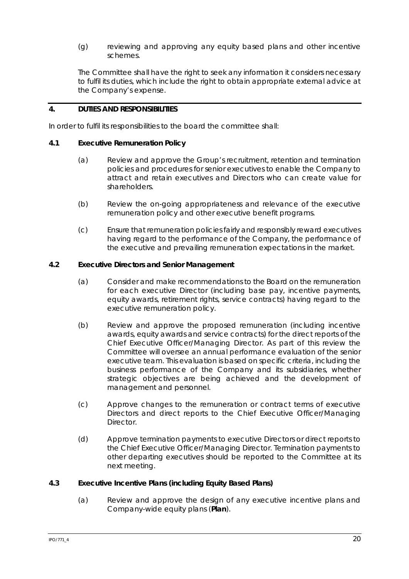(g) reviewing and approving any equity based plans and other incentive schemes.

The Committee shall have the right to seek any information it considers necessary to fulfil its duties, which include the right to obtain appropriate external advice at the Company's expense.

# **4. DUTIES AND RESPONSIBILITIES**

In order to fulfil its responsibilities to the board the committee shall:

### **4.1 Executive Remuneration Policy**

- (a) Review and approve the Group's recruitment, retention and termination policies and procedures for senior executives to enable the Company to attract and retain executives and Directors who can create value for shareholders.
- (b) Review the on-going appropriateness and relevance of the executive remuneration policy and other executive benefit programs.
- (c) Ensure that remuneration policies fairly and responsibly reward executives having regard to the performance of the Company, the performance of the executive and prevailing remuneration expectations in the market.

# **4.2 Executive Directors and Senior Management**

- (a) Consider and make recommendations to the Board on the remuneration for each executive Director (including base pay, incentive payments, equity awards, retirement rights, service contracts) having regard to the executive remuneration policy.
- (b) Review and approve the proposed remuneration (including incentive awards, equity awards and service contracts) for the direct reports of the Chief Executive Officer/Managing Director. As part of this review the Committee will oversee an annual performance evaluation of the senior executive team. This evaluation is based on specific criteria, including the business performance of the Company and its subsidiaries, whether strategic objectives are being achieved and the development of management and personnel.
- (c) Approve changes to the remuneration or contract terms of executive Directors and direct reports to the Chief Executive Officer/Managing Director.
- (d) Approve termination payments to executive Directors or direct reports to the Chief Executive Officer/Managing Director. Termination payments to other departing executives should be reported to the Committee at its next meeting.

### **4.3 Executive Incentive Plans (including Equity Based Plans)**

(a) Review and approve the design of any executive incentive plans and Company-wide equity plans (**Plan**).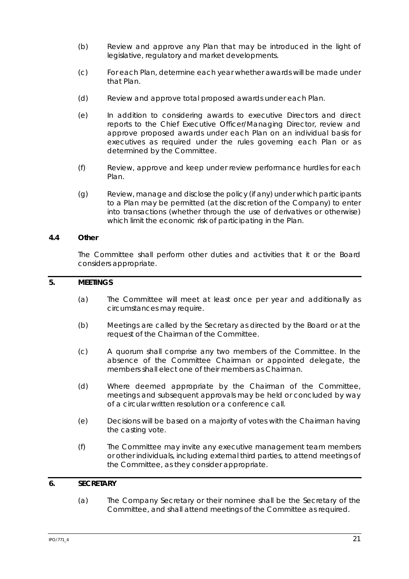- (b) Review and approve any Plan that may be introduced in the light of legislative, regulatory and market developments.
- (c) For each Plan, determine each year whether awards will be made under that Plan.
- (d) Review and approve total proposed awards under each Plan.
- (e) In addition to considering awards to executive Directors and direct reports to the Chief Executive Officer/Managing Director, review and approve proposed awards under each Plan on an individual basis for executives as required under the rules governing each Plan or as determined by the Committee.
- (f) Review, approve and keep under review performance hurdles for each Plan.
- (g) Review, manage and disclose the policy (if any) under which participants to a Plan may be permitted (at the discretion of the Company) to enter into transactions (whether through the use of derivatives or otherwise) which limit the economic risk of participating in the Plan.

### **4.4 Other**

The Committee shall perform other duties and activities that it or the Board considers appropriate.

# **5. MEETINGS**

- (a) The Committee will meet at least once per year and additionally as circumstances may require.
- (b) Meetings are called by the Secretary as directed by the Board or at the request of the Chairman of the Committee.
- (c) A quorum shall comprise any two members of the Committee. In the absence of the Committee Chairman or appointed delegate, the members shall elect one of their members as Chairman.
- (d) Where deemed appropriate by the Chairman of the Committee, meetings and subsequent approvals may be held or concluded by way of a circular written resolution or a conference call.
- (e) Decisions will be based on a majority of votes with the Chairman having the casting vote.
- (f) The Committee may invite any executive management team members or other individuals, including external third parties, to attend meetings of the Committee, as they consider appropriate.

# **6. SECRETARY**

(a) The Company Secretary or their nominee shall be the Secretary of the Committee, and shall attend meetings of the Committee as required.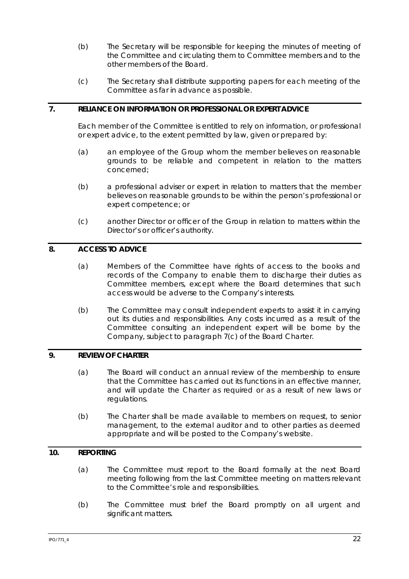- (b) The Secretary will be responsible for keeping the minutes of meeting of the Committee and circulating them to Committee members and to the other members of the Board.
- (c) The Secretary shall distribute supporting papers for each meeting of the Committee as far in advance as possible.

# **7. RELIANCE ON INFORMATION OR PROFESSIONAL OR EXPERT ADVICE**

Each member of the Committee is entitled to rely on information, or professional or expert advice, to the extent permitted by law, given or prepared by:

- (a) an employee of the Group whom the member believes on reasonable grounds to be reliable and competent in relation to the matters concerned;
- (b) a professional adviser or expert in relation to matters that the member believes on reasonable grounds to be within the person's professional or expert competence; or
- (c) another Director or officer of the Group in relation to matters within the Director's or officer's authority.

# **8. ACCESS TO ADVICE**

- (a) Members of the Committee have rights of access to the books and records of the Company to enable them to discharge their duties as Committee members, except where the Board determines that such access would be adverse to the Company's interests.
- (b) The Committee may consult independent experts to assist it in carrying out its duties and responsibilities. Any costs incurred as a result of the Committee consulting an independent expert will be borne by the Company, subject to paragraph 7(c) of the Board Charter.

### **9. REVIEW OF CHARTER**

- (a) The Board will conduct an annual review of the membership to ensure that the Committee has carried out its functions in an effective manner, and will update the Charter as required or as a result of new laws or regulations.
- (b) The Charter shall be made available to members on request, to senior management, to the external auditor and to other parties as deemed appropriate and will be posted to the Company's website.

# **10. REPORTING**

- (a) The Committee must report to the Board formally at the next Board meeting following from the last Committee meeting on matters relevant to the Committee's role and responsibilities.
- (b) The Committee must brief the Board promptly on all urgent and significant matters.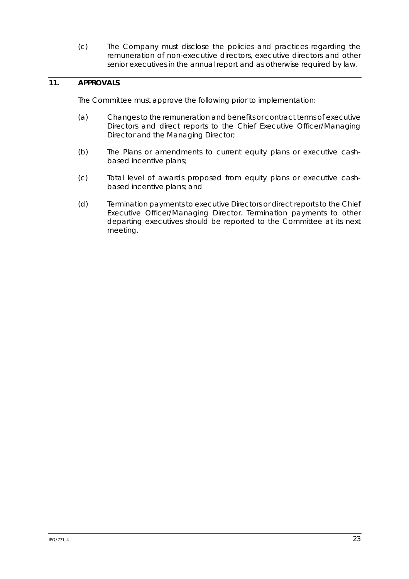(c) The Company must disclose the policies and practices regarding the remuneration of non-executive directors, executive directors and other senior executives in the annual report and as otherwise required by law.

# **11. APPROVALS**

The Committee must approve the following prior to implementation:

- (a) Changes to the remuneration and benefits or contract terms of executive Directors and direct reports to the Chief Executive Officer/Managing Director and the Managing Director;
- (b) The Plans or amendments to current equity plans or executive cashbased incentive plans;
- (c) Total level of awards proposed from equity plans or executive cashbased incentive plans; and
- (d) Termination payments to executive Directors or direct reports to the Chief Executive Officer/Managing Director. Termination payments to other departing executives should be reported to the Committee at its next meeting.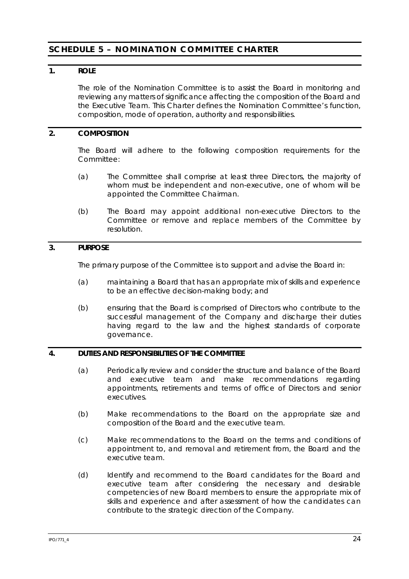# **SCHEDULE 5 – NOMINATION COMMITTEE CHARTER**

### **1. ROLE**

The role of the Nomination Committee is to assist the Board in monitoring and reviewing any matters of significance affecting the composition of the Board and the Executive Team. This Charter defines the Nomination Committee's function, composition, mode of operation, authority and responsibilities.

# **2. COMPOSITION**

The Board will adhere to the following composition requirements for the Committee:

- (a) The Committee shall comprise at least three Directors, the majority of whom must be independent and non-executive, one of whom will be appointed the Committee Chairman.
- (b) The Board may appoint additional non-executive Directors to the Committee or remove and replace members of the Committee by resolution.

# **3. PURPOSE**

The primary purpose of the Committee is to support and advise the Board in:

- (a) maintaining a Board that has an appropriate mix of skills and experience to be an effective decision-making body; and
- (b) ensuring that the Board is comprised of Directors who contribute to the successful management of the Company and discharge their duties having regard to the law and the highest standards of corporate governance.

### **4. DUTIES AND RESPONSIBILITIES OF THE COMMITTEE**

- (a) Periodically review and consider the structure and balance of the Board and executive team and make recommendations regarding appointments, retirements and terms of office of Directors and senior executives.
- (b) Make recommendations to the Board on the appropriate size and composition of the Board and the executive team.
- (c) Make recommendations to the Board on the terms and conditions of appointment to, and removal and retirement from, the Board and the executive team.
- (d) Identify and recommend to the Board candidates for the Board and executive team after considering the necessary and desirable competencies of new Board members to ensure the appropriate mix of skills and experience and after assessment of how the candidates can contribute to the strategic direction of the Company.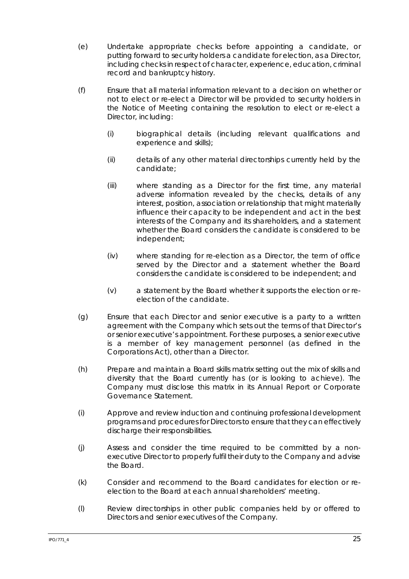- (e) Undertake appropriate checks before appointing a candidate, or putting forward to security holders a candidate for election, as a Director, including checks in respect of character, experience, education, criminal record and bankruptcy history.
- (f) Ensure that all material information relevant to a decision on whether or not to elect or re-elect a Director will be provided to security holders in the Notice of Meeting containing the resolution to elect or re-elect a Director, including:
	- (i) biographical details (including relevant qualifications and experience and skills);
	- (ii) details of any other material directorships currently held by the candidate;
	- (iii) where standing as a Director for the first time, any material adverse information revealed by the checks, details of any interest, position, association or relationship that might materially influence their capacity to be independent and act in the best interests of the Company and its shareholders, and a statement whether the Board considers the candidate is considered to be independent;
	- (iv) where standing for re-election as a Director, the term of office served by the Director and a statement whether the Board considers the candidate is considered to be independent; and
	- (v) a statement by the Board whether it supports the election or reelection of the candidate.
- (g) Ensure that each Director and senior executive is a party to a written agreement with the Company which sets out the terms of that Director's or senior executive's appointment. For these purposes, a senior executive is a member of key management personnel (as defined in the Corporations Act), other than a Director.
- (h) Prepare and maintain a Board skills matrix setting out the mix of skills and diversity that the Board currently has (or is looking to achieve). The Company must disclose this matrix in its Annual Report or Corporate Governance Statement.
- (i) Approve and review induction and continuing professional development programs and procedures for Directors to ensure that they can effectively discharge their responsibilities.
- (j) Assess and consider the time required to be committed by a nonexecutive Director to properly fulfil their duty to the Company and advise the Board.
- (k) Consider and recommend to the Board candidates for election or reelection to the Board at each annual shareholders' meeting.
- (l) Review directorships in other public companies held by or offered to Directors and senior executives of the Company.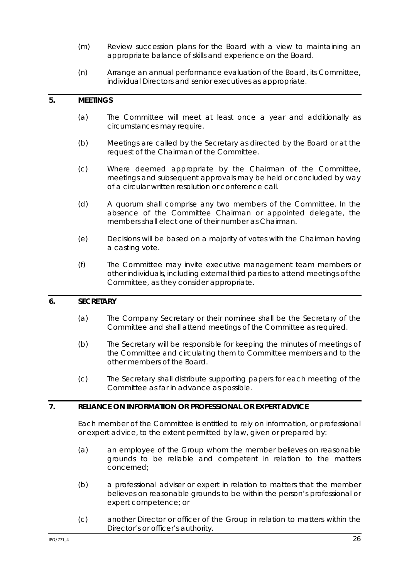- (m) Review succession plans for the Board with a view to maintaining an appropriate balance of skills and experience on the Board.
- (n) Arrange an annual performance evaluation of the Board, its Committee, individual Directors and senior executives as appropriate.

#### **5. MEETINGS**

- (a) The Committee will meet at least once a year and additionally as circumstances may require.
- (b) Meetings are called by the Secretary as directed by the Board or at the request of the Chairman of the Committee.
- (c) Where deemed appropriate by the Chairman of the Committee, meetings and subsequent approvals may be held or concluded by way of a circular written resolution or conference call.
- (d) A quorum shall comprise any two members of the Committee. In the absence of the Committee Chairman or appointed delegate, the members shall elect one of their number as Chairman.
- (e) Decisions will be based on a majority of votes with the Chairman having a casting vote.
- (f) The Committee may invite executive management team members or other individuals, including external third parties to attend meetings of the Committee, as they consider appropriate.

### **6. SECRETARY**

- (a) The Company Secretary or their nominee shall be the Secretary of the Committee and shall attend meetings of the Committee as required.
- (b) The Secretary will be responsible for keeping the minutes of meetings of the Committee and circulating them to Committee members and to the other members of the Board.
- (c) The Secretary shall distribute supporting papers for each meeting of the Committee as far in advance as possible.

### **7. RELIANCE ON INFORMATION OR PROFESSIONAL OR EXPERT ADVICE**

Each member of the Committee is entitled to rely on information, or professional or expert advice, to the extent permitted by law, given or prepared by:

- (a) an employee of the Group whom the member believes on reasonable grounds to be reliable and competent in relation to the matters concerned;
- (b) a professional adviser or expert in relation to matters that the member believes on reasonable grounds to be within the person's professional or expert competence; or
- (c) another Director or officer of the Group in relation to matters within the Director's or officer's authority.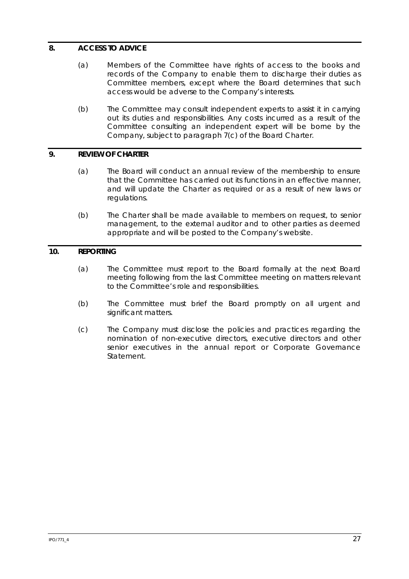# **8. ACCESS TO ADVICE**

- (a) Members of the Committee have rights of access to the books and records of the Company to enable them to discharge their duties as Committee members, except where the Board determines that such access would be adverse to the Company's interests.
- (b) The Committee may consult independent experts to assist it in carrying out its duties and responsibilities. Any costs incurred as a result of the Committee consulting an independent expert will be borne by the Company, subject to paragraph 7(c) of the Board Charter.

### **9. REVIEW OF CHARTER**

- (a) The Board will conduct an annual review of the membership to ensure that the Committee has carried out its functions in an effective manner, and will update the Charter as required or as a result of new laws or regulations.
- (b) The Charter shall be made available to members on request, to senior management, to the external auditor and to other parties as deemed appropriate and will be posted to the Company's website.

### **10. REPORTING**

- (a) The Committee must report to the Board formally at the next Board meeting following from the last Committee meeting on matters relevant to the Committee's role and responsibilities.
- (b) The Committee must brief the Board promptly on all urgent and significant matters.
- (c) The Company must disclose the policies and practices regarding the nomination of non-executive directors, executive directors and other senior executives in the annual report or Corporate Governance Statement.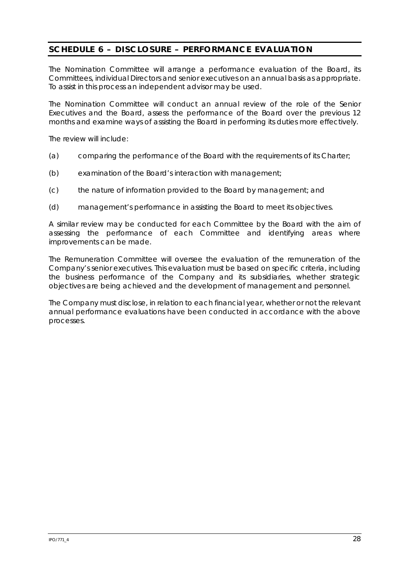# **SCHEDULE 6 – DISCLOSURE – PERFORMANCE EVALUATION**

The Nomination Committee will arrange a performance evaluation of the Board, its Committees, individual Directors and senior executives on an annual basis as appropriate. To assist in this process an independent advisor may be used.

The Nomination Committee will conduct an annual review of the role of the Senior Executives and the Board, assess the performance of the Board over the previous 12 months and examine ways of assisting the Board in performing its duties more effectively.

The review will include:

- (a) comparing the performance of the Board with the requirements of its Charter;
- (b) examination of the Board's interaction with management;
- (c) the nature of information provided to the Board by management; and
- (d) management's performance in assisting the Board to meet its objectives.

A similar review may be conducted for each Committee by the Board with the aim of assessing the performance of each Committee and identifying areas where improvements can be made.

The Remuneration Committee will oversee the evaluation of the remuneration of the Company's senior executives. This evaluation must be based on specific criteria, including the business performance of the Company and its subsidiaries, whether strategic objectives are being achieved and the development of management and personnel.

The Company must disclose, in relation to each financial year, whether or not the relevant annual performance evaluations have been conducted in accordance with the above processes.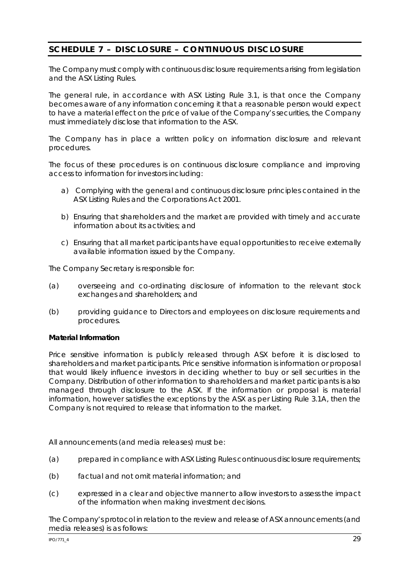# **SCHEDULE 7 – DISCLOSURE – CONTINUOUS DISCLOSURE**

The Company must comply with continuous disclosure requirements arising from legislation and the ASX Listing Rules.

The general rule, in accordance with ASX Listing Rule 3.1, is that once the Company becomes aware of any information concerning it that a reasonable person would expect to have a material effect on the price of value of the Company's securities, the Company must immediately disclose that information to the ASX.

The Company has in place a written policy on information disclosure and relevant procedures.

The focus of these procedures is on continuous disclosure compliance and improving access to information for investors including:

- a) Complying with the general and continuous disclosure principles contained in the ASX Listing Rules and the Corporations Act 2001.
- b) Ensuring that shareholders and the market are provided with timely and accurate information about its activities; and
- c) Ensuring that all market participants have equal opportunities to receive externally available information issued by the Company.

The Company Secretary is responsible for:

- (a) overseeing and co-ordinating disclosure of information to the relevant stock exchanges and shareholders; and
- (b) providing guidance to Directors and employees on disclosure requirements and procedures.

### **Material Information**

Price sensitive information is publicly released through ASX before it is disclosed to shareholders and market participants. Price sensitive information is information or proposal that would likely influence investors in deciding whether to buy or sell securities in the Company. Distribution of other information to shareholders and market participants is also managed through disclosure to the ASX. If the information or proposal is material information, however satisfies the exceptions by the ASX as per Listing Rule 3.1A, then the Company is not required to release that information to the market.

All announcements (and media releases) must be:

- (a) prepared in compliance with ASX Listing Rules continuous disclosure requirements;
- (b) factual and not omit material information; and
- (c) expressed in a clear and objective manner to allow investors to assess the impact of the information when making investment decisions.

The Company's protocol in relation to the review and release of ASX announcements (and media releases) is as follows: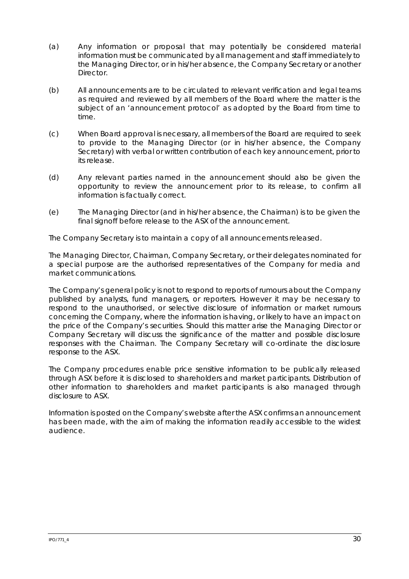- (a) Any information or proposal that may potentially be considered material information must be communicated by all management and staff immediately to the Managing Director, or in his/her absence, the Company Secretary or another Director.
- (b) All announcements are to be circulated to relevant verification and legal teams as required and reviewed by all members of the Board where the matter is the subject of an 'announcement protocol' as adopted by the Board from time to time.
- (c) When Board approval is necessary, all members of the Board are required to seek to provide to the Managing Director (or in his/her absence, the Company Secretary) with verbal or written contribution of each key announcement, prior to its release.
- (d) Any relevant parties named in the announcement should also be given the opportunity to review the announcement prior to its release, to confirm all information is factually correct.
- (e) The Managing Director (and in his/her absence, the Chairman) is to be given the final signoff before release to the ASX of the announcement.

The Company Secretary is to maintain a copy of all announcements released.

The Managing Director, Chairman, Company Secretary, or their delegates nominated for a special purpose are the authorised representatives of the Company for media and market communications.

The Company's general policy is not to respond to reports of rumours about the Company published by analysts, fund managers, or reporters. However it may be necessary to respond to the unauthorised, or selective disclosure of information or market rumours concerning the Company, where the information is having, or likely to have an impact on the price of the Company's securities. Should this matter arise the Managing Director or Company Secretary will discuss the significance of the matter and possible disclosure responses with the Chairman. The Company Secretary will co-ordinate the disclosure response to the ASX.

The Company procedures enable price sensitive information to be publically released through ASX before it is disclosed to shareholders and market participants. Distribution of other information to shareholders and market participants is also managed through disclosure to ASX.

Information is posted on the Company's website after the ASX confirms an announcement has been made, with the aim of making the information readily accessible to the widest audience.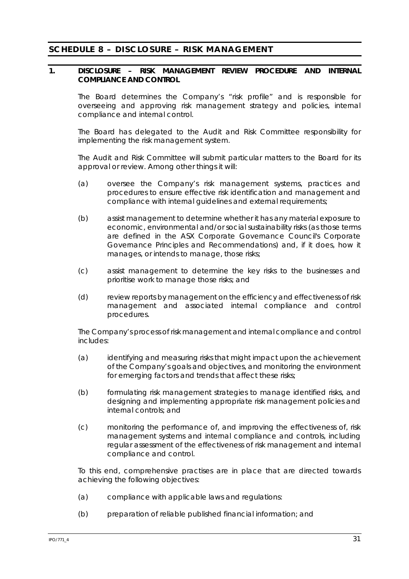# **SCHEDULE 8 – DISCLOSURE – RISK MANAGEMENT**

### **1. DISCLOSURE – RISK MANAGEMENT REVIEW PROCEDURE AND INTERNAL COMPLIANCE AND CONTROL**

The Board determines the Company's "risk profile" and is responsible for overseeing and approving risk management strategy and policies, internal compliance and internal control.

The Board has delegated to the Audit and Risk Committee responsibility for implementing the risk management system.

The Audit and Risk Committee will submit particular matters to the Board for its approval or review. Among other things it will:

- (a) oversee the Company's risk management systems, practices and procedures to ensure effective risk identification and management and compliance with internal guidelines and external requirements;
- (b) assist management to determine whether it has any material exposure to economic, environmental and/or social sustainability risks (as those terms are defined in the ASX Corporate Governance Council's *Corporate Governance Principles and Recommendations*) and, if it does, how it manages, or intends to manage, those risks;
- (c) assist management to determine the key risks to the businesses and prioritise work to manage those risks; and
- (d) review reports by management on the efficiency and effectiveness of risk management and associated internal compliance and control procedures.

The Company's process of risk management and internal compliance and control includes:

- (a) identifying and measuring risks that might impact upon the achievement of the Company's goals and objectives, and monitoring the environment for emerging factors and trends that affect these risks;
- (b) formulating risk management strategies to manage identified risks, and designing and implementing appropriate risk management policies and internal controls; and
- (c) monitoring the performance of, and improving the effectiveness of, risk management systems and internal compliance and controls, including regular assessment of the effectiveness of risk management and internal compliance and control.

To this end, comprehensive practises are in place that are directed towards achieving the following objectives:

- (a) compliance with applicable laws and regulations:
- (b) preparation of reliable published financial information; and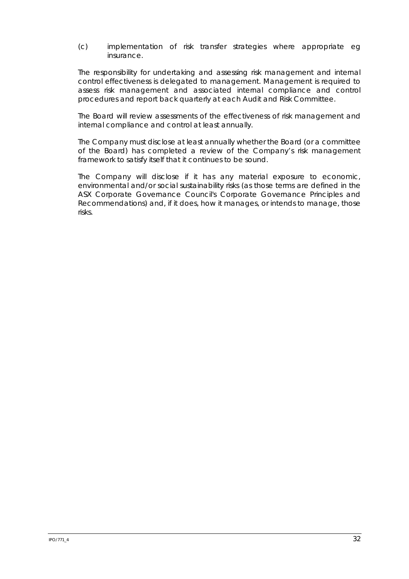(c) implementation of risk transfer strategies where appropriate eg insurance.

The responsibility for undertaking and assessing risk management and internal control effectiveness is delegated to management. Management is required to assess risk management and associated internal compliance and control procedures and report back quarterly at each Audit and Risk Committee.

The Board will review assessments of the effectiveness of risk management and internal compliance and control at least annually.

The Company must disclose at least annually whether the Board (or a committee of the Board) has completed a review of the Company's risk management framework to satisfy itself that it continues to be sound.

The Company will disclose if it has any material exposure to economic, environmental and/or social sustainability risks (as those terms are defined in the ASX Corporate Governance Council's *Corporate Governance Principles and Recommendations*) and, if it does, how it manages, or intends to manage, those risks.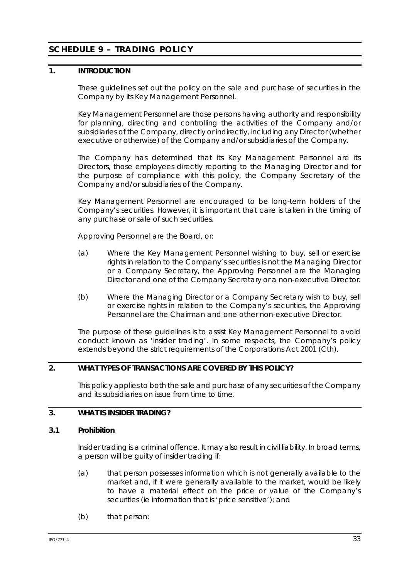# **SCHEDULE 9 – TRADING POLICY**

# **1. INTRODUCTION**

These guidelines set out the policy on the sale and purchase of securities in the Company by its Key Management Personnel.

Key Management Personnel are those persons having authority and responsibility for planning, directing and controlling the activities of the Company and/or subsidiaries of the Company, directly or indirectly, including any Director (whether executive or otherwise) of the Company and/or subsidiaries of the Company.

The Company has determined that its Key Management Personnel are its Directors, those employees directly reporting to the Managing Director and for the purpose of compliance with this policy, the Company Secretary of the Company and/or subsidiaries of the Company.

Key Management Personnel are encouraged to be long-term holders of the Company's securities. However, it is important that care is taken in the timing of any purchase or sale of such securities.

Approving Personnel are the Board, or:

- (a) Where the Key Management Personnel wishing to buy, sell or exercise rights in relation to the Company's securities is not the Managing Director or a Company Secretary, the Approving Personnel are the Managing Director and one of the Company Secretary or a non-executive Director.
- (b) Where the Managing Director or a Company Secretary wish to buy, sell or exercise rights in relation to the Company's securities, the Approving Personnel are the Chairman and one other non-executive Director.

The purpose of these guidelines is to assist Key Management Personnel to avoid conduct known as 'insider trading'. In some respects, the Company's policy extends beyond the strict requirements of the *Corporations Act 2001* (Cth).

# **2. WHAT TYPES OF TRANSACTIONS ARE COVERED BY THIS POLICY?**

This policy applies to both the sale and purchase of any securities of the Company and its subsidiaries on issue from time to time.

# **3. WHAT IS INSIDER TRADING?**

#### **3.1 Prohibition**

Insider trading is a criminal offence. It may also result in civil liability. In broad terms, a person will be guilty of insider trading if:

- (a) that person possesses information which is not generally available to the market and, if it were generally available to the market, would be likely to have a material effect on the price or value of the Company's securities (ie information that is 'price sensitive'); and
- (b) that person: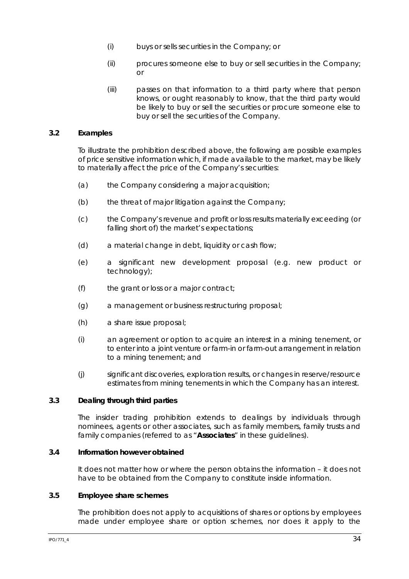- (i) buys or sells securities in the Company; or
- (ii) procures someone else to buy or sell securities in the Company; or
- (iii) passes on that information to a third party where that person knows, or ought reasonably to know, that the third party would be likely to buy or sell the securities or procure someone else to buy or sell the securities of the Company.

### **3.2 Examples**

To illustrate the prohibition described above, the following are possible examples of price sensitive information which, if made available to the market, may be likely to materially affect the price of the Company's securities:

- (a) the Company considering a major acquisition;
- (b) the threat of major litigation against the Company;
- (c) the Company's revenue and profit or loss results materially exceeding (or falling short of) the market's expectations;
- (d) a material change in debt, liquidity or cash flow;
- (e) a significant new development proposal (e.g. new product or technology);
- (f) the grant or loss or a major contract;
- (g) a management or business restructuring proposal;
- (h) a share issue proposal;
- (i) an agreement or option to acquire an interest in a mining tenement, or to enter into a joint venture or farm-in or farm-out arrangement in relation to a mining tenement; and
- (j) significant discoveries, exploration results, or changes in reserve/resource estimates from mining tenements in which the Company has an interest.

#### **3.3 Dealing through third parties**

The insider trading prohibition extends to dealings by individuals through nominees, agents or other associates, such as family members, family trusts and family companies (referred to as "**Associates**" in these guidelines).

#### **3.4 Information however obtained**

It does not matter how or where the person obtains the information – it does not have to be obtained from the Company to constitute inside information.

### **3.5 Employee share schemes**

The prohibition does not apply to acquisitions of shares or options by employees made under employee share or option schemes, nor does it apply to the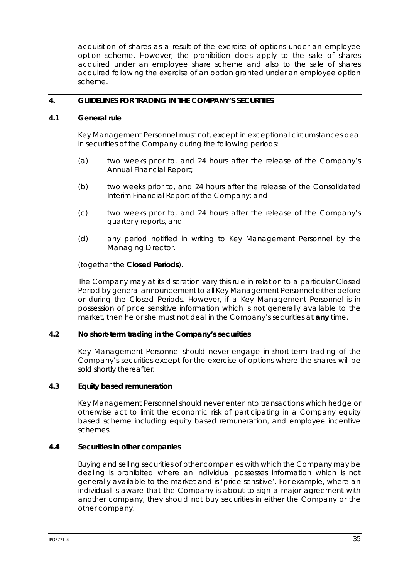acquisition of shares as a result of the exercise of options under an employee option scheme. However, the prohibition does apply to the sale of shares acquired under an employee share scheme and also to the sale of shares acquired following the exercise of an option granted under an employee option scheme.

### **4. GUIDELINES FOR TRADING IN THE COMPANY'S SECURITIES**

#### **4.1 General rule**

Key Management Personnel must not, except in exceptional circumstances deal in securities of the Company during the following periods:

- (a) two weeks prior to, and 24 hours after the release of the Company's Annual Financial Report;
- (b) two weeks prior to, and 24 hours after the release of the Consolidated Interim Financial Report of the Company; and
- (c) two weeks prior to, and 24 hours after the release of the Company's quarterly reports, and
- (d) any period notified in writing to Key Management Personnel by the Managing Director.

### (together the **Closed Periods**).

The Company may at its discretion vary this rule in relation to a particular Closed Period by general announcement to all Key Management Personnel either before or during the Closed Periods. However, if a Key Management Personnel is in possession of price sensitive information which is not generally available to the market, then he or she must not deal in the Company's securities at **any** time.

#### **4.2 No short-term trading in the Company's securities**

Key Management Personnel should never engage in short-term trading of the Company's securities except for the exercise of options where the shares will be sold shortly thereafter.

### **4.3 Equity based remuneration**

Key Management Personnel should never enter into transactions which hedge or otherwise act to limit the economic risk of participating in a Company equity based scheme including equity based remuneration, and employee incentive schemes.

### **4.4 Securities in other companies**

Buying and selling securities of other companies with which the Company may be dealing is prohibited where an individual possesses information which is not generally available to the market and is 'price sensitive'. For example, where an individual is aware that the Company is about to sign a major agreement with another company, they should not buy securities in either the Company or the other company.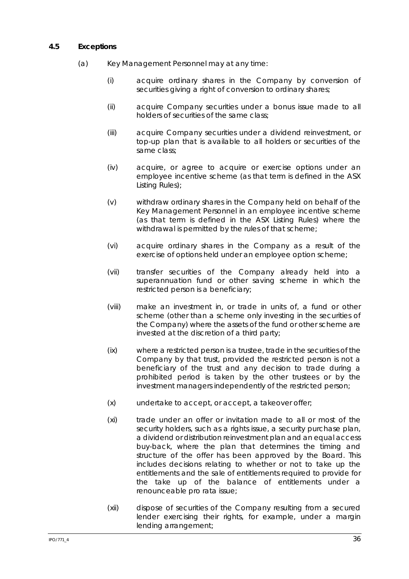## **4.5 Exceptions**

- (a) Key Management Personnel may at any time:
	- (i) acquire ordinary shares in the Company by conversion of securities giving a right of conversion to ordinary shares;
	- (ii) acquire Company securities under a bonus issue made to all holders of securities of the same class;
	- (iii) acquire Company securities under a dividend reinvestment, or top-up plan that is available to all holders or securities of the same class;
	- (iv) acquire, or agree to acquire or exercise options under an employee incentive scheme (as that term is defined in the ASX Listing Rules);
	- (v) withdraw ordinary shares in the Company held on behalf of the Key Management Personnel in an employee incentive scheme (as that term is defined in the ASX Listing Rules) where the withdrawal is permitted by the rules of that scheme;
	- (vi) acquire ordinary shares in the Company as a result of the exercise of options held under an employee option scheme;
	- (vii) transfer securities of the Company already held into a superannuation fund or other saving scheme in which the restricted person is a beneficiary;
	- (viii) make an investment in, or trade in units of, a fund or other scheme (other than a scheme only investing in the securities of the Company) where the assets of the fund or other scheme are invested at the discretion of a third party;
	- (ix) where a restricted person is a trustee, trade in the securities of the Company by that trust, provided the restricted person is not a beneficiary of the trust and any decision to trade during a prohibited period is taken by the other trustees or by the investment managers independently of the restricted person;
	- (x) undertake to accept, or accept, a takeover offer;
	- (xi) trade under an offer or invitation made to all or most of the security holders, such as a rights issue, a security purchase plan, a dividend or distribution reinvestment plan and an equal access buy-back, where the plan that determines the timing and structure of the offer has been approved by the Board. This includes decisions relating to whether or not to take up the entitlements and the sale of entitlements required to provide for the take up of the balance of entitlements under a renounceable pro rata issue;
	- (xii) dispose of securities of the Company resulting from a secured lender exercising their rights, for example, under a margin lending arrangement;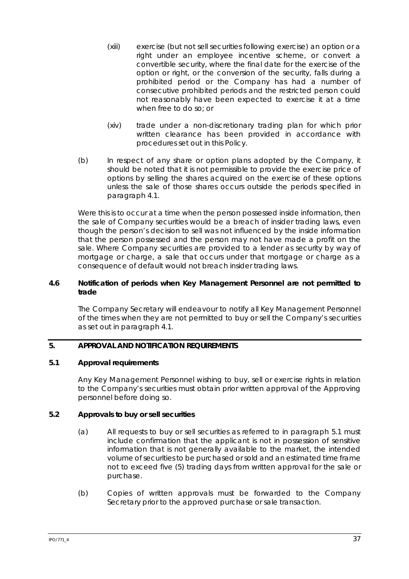- (xiii) exercise (but not sell securities following exercise) an option or a right under an employee incentive scheme, or convert a convertible security, where the final date for the exercise of the option or right, or the conversion of the security, falls during a prohibited period or the Company has had a number of consecutive prohibited periods and the restricted person could not reasonably have been expected to exercise it at a time when free to do so; or
- (xiv) trade under a non-discretionary trading plan for which prior written clearance has been provided in accordance with procedures set out in this Policy.
- (b) In respect of any share or option plans adopted by the Company, it should be noted that it is not permissible to provide the exercise price of options by selling the shares acquired on the exercise of these options unless the sale of those shares occurs outside the periods specified in paragraph 4.1.

Were this is to occur at a time when the person possessed inside information, then the sale of Company securities would be a breach of insider trading laws, even though the person's decision to sell was not influenced by the inside information that the person possessed and the person may not have made a profit on the sale. Where Company securities are provided to a lender as security by way of mortgage or charge, a sale that occurs under that mortgage or charge as a consequence of default would not breach insider trading laws.

### **4.6 Notification of periods when Key Management Personnel are not permitted to trade**

The Company Secretary will endeavour to notify all Key Management Personnel of the times when they are not permitted to buy or sell the Company's securities as set out in paragraph 4.1.

# **5. APPROVAL AND NOTIFICATION REQUIREMENTS**

### **5.1 Approval requirements**

Any Key Management Personnel wishing to buy, sell or exercise rights in relation to the Company's securities must obtain prior written approval of the Approving personnel before doing so.

### **5.2 Approvals to buy or sell securities**

- (a) All requests to buy or sell securities as referred to in paragraph 5.1 must include confirmation that the applicant is not in possession of sensitive information that is not generally available to the market, the intended volume of securities to be purchased or sold and an estimated time frame not to exceed five (5) trading days from written approval for the sale or purchase.
- (b) Copies of written approvals must be forwarded to the Company Secretary prior to the approved purchase or sale transaction.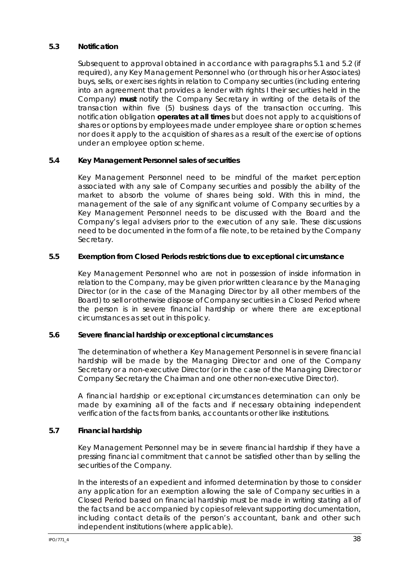### **5.3 Notification**

Subsequent to approval obtained in accordance with paragraphs 5.1 and 5.2 (if required), any Key Management Personnel who (or through his or her Associates) buys, sells, or exercises rights in relation to Company securities (including entering into an agreement that provides a lender with rights I their securities held in the Company) **must** notify the Company Secretary in writing of the details of the transaction within five (5) business days of the transaction occurring. This notification obligation **operates at all times** but does not apply to acquisitions of shares or options by employees made under employee share or option schemes nor does it apply to the acquisition of shares as a result of the exercise of options under an employee option scheme.

# **5.4 Key Management Personnel sales of securities**

Key Management Personnel need to be mindful of the market perception associated with any sale of Company securities and possibly the ability of the market to absorb the volume of shares being sold. With this in mind, the management of the sale of any significant volume of Company securities by a Key Management Personnel needs to be discussed with the Board and the Company's legal advisers prior to the execution of any sale. These discussions need to be documented in the form of a file note, to be retained by the Company Secretary.

### **5.5 Exemption from Closed Periods restrictions due to exceptional circumstance**

Key Management Personnel who are not in possession of inside information in relation to the Company, may be given prior written clearance by the Managing Director (or in the case of the Managing Director by all other members of the Board) to sell or otherwise dispose of Company securities in a Closed Period where the person is in severe financial hardship or where there are exceptional circumstances as set out in this policy.

### **5.6 Severe financial hardship or exceptional circumstances**

The determination of whether a Key Management Personnel is in severe financial hardship will be made by the Managing Director and one of the Company Secretary or a non-executive Director (or in the case of the Managing Director or Company Secretary the Chairman and one other non-executive Director).

A financial hardship or exceptional circumstances determination can only be made by examining all of the facts and if necessary obtaining independent verification of the facts from banks, accountants or other like institutions.

# **5.7 Financial hardship**

Key Management Personnel may be in severe financial hardship if they have a pressing financial commitment that cannot be satisfied other than by selling the securities of the Company.

In the interests of an expedient and informed determination by those to consider any application for an exemption allowing the sale of Company securities in a Closed Period based on financial hardship must be made in writing stating all of the facts and be accompanied by copies of relevant supporting documentation, including contact details of the person's accountant, bank and other such independent institutions (where applicable).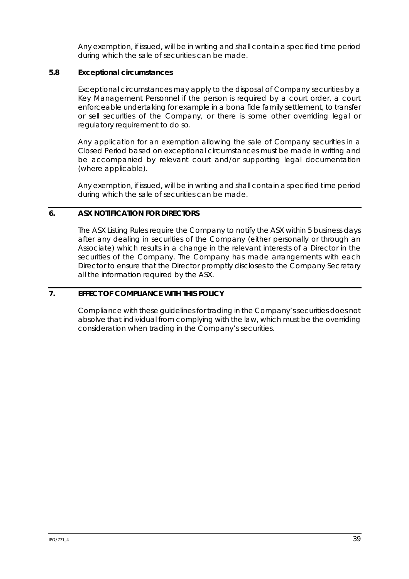Any exemption, if issued, will be in writing and shall contain a specified time period during which the sale of securities can be made.

## **5.8 Exceptional circumstances**

Exceptional circumstances may apply to the disposal of Company securities by a Key Management Personnel if the person is required by a court order, a court enforceable undertaking for example in a bona fide family settlement, to transfer or sell securities of the Company, or there is some other overriding legal or regulatory requirement to do so.

Any application for an exemption allowing the sale of Company securities in a Closed Period based on exceptional circumstances must be made in writing and be accompanied by relevant court and/or supporting legal documentation (where applicable).

Any exemption, if issued, will be in writing and shall contain a specified time period during which the sale of securities can be made.

### **6. ASX NOTIFICATION FOR DIRECTORS**

The ASX Listing Rules require the Company to notify the ASX within 5 business days after any dealing in securities of the Company (either personally or through an Associate) which results in a change in the relevant interests of a Director in the securities of the Company. The Company has made arrangements with each Director to ensure that the Director promptly discloses to the Company Secretary all the information required by the ASX.

# **7. EFFECT OF COMPLIANCE WITH THIS POLICY**

Compliance with these guidelines for trading in the Company's securities does not absolve that individual from complying with the law, which must be the overriding consideration when trading in the Company's securities.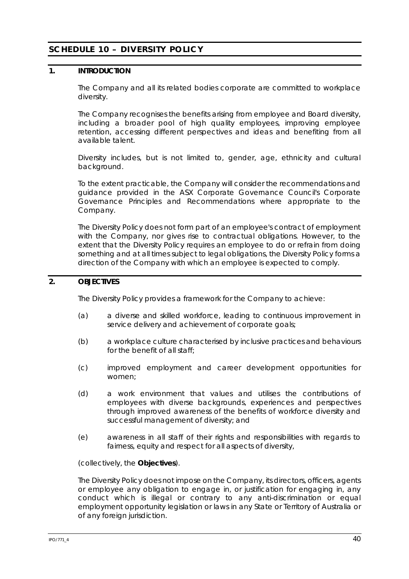# **SCHEDULE 10 – DIVERSITY POLICY**

## **1. INTRODUCTION**

The Company and all its related bodies corporate are committed to workplace diversity.

The Company recognises the benefits arising from employee and Board diversity, including a broader pool of high quality employees, improving employee retention, accessing different perspectives and ideas and benefiting from all available talent.

Diversity includes, but is not limited to, gender, age, ethnicity and cultural background.

To the extent practicable, the Company will consider the recommendations and guidance provided in the ASX Corporate Governance Council's *Corporate Governance Principles and Recommendations* where appropriate to the Company.

The Diversity Policy does not form part of an employee's contract of employment with the Company, nor gives rise to contractual obligations. However, to the extent that the Diversity Policy requires an employee to do or refrain from doing something and at all times subject to legal obligations, the Diversity Policy forms a direction of the Company with which an employee is expected to comply.

# **2. OBJECTIVES**

The Diversity Policy provides a framework for the Company to achieve:

- (a) a diverse and skilled workforce, leading to continuous improvement in service delivery and achievement of corporate goals;
- (b) a workplace culture characterised by inclusive practices and behaviours for the benefit of all staff;
- (c) improved employment and career development opportunities for women;
- (d) a work environment that values and utilises the contributions of employees with diverse backgrounds, experiences and perspectives through improved awareness of the benefits of workforce diversity and successful management of diversity; and
- (e) awareness in all staff of their rights and responsibilities with regards to fairness, equity and respect for all aspects of diversity,

(collectively, the **Objectives**).

The Diversity Policy does not impose on the Company, its directors, officers, agents or employee any obligation to engage in, or justification for engaging in, any conduct which is illegal or contrary to any anti-discrimination or equal employment opportunity legislation or laws in any State or Territory of Australia or of any foreign jurisdiction.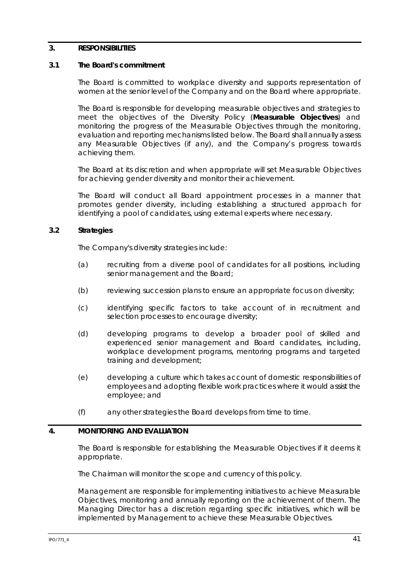### **3. RESPONSIBILITIES**

#### **3.1 The Board's commitment**

The Board is committed to workplace diversity and supports representation of women at the senior level of the Company and on the Board where appropriate.

The Board is responsible for developing measurable objectives and strategies to meet the objectives of the Diversity Policy (**Measurable Objectives**) and monitoring the progress of the Measurable Objectives through the monitoring, evaluation and reporting mechanisms listed below. The Board shall annually assess any Measurable Objectives (if any), and the Company's progress towards achieving them.

The Board at its discretion and when appropriate will set Measurable Objectives for achieving gender diversity and monitor their achievement.

The Board will conduct all Board appointment processes in a manner that promotes gender diversity, including establishing a structured approach for identifying a pool of candidates, using external experts where necessary.

### **3.2 Strategies**

The Company's diversity strategies include:

- (a) recruiting from a diverse pool of candidates for all positions, including senior management and the Board;
- (b) reviewing succession plans to ensure an appropriate focus on diversity;
- (c) identifying specific factors to take account of in recruitment and selection processes to encourage diversity;
- (d) developing programs to develop a broader pool of skilled and experienced senior management and Board candidates, including, workplace development programs, mentoring programs and targeted training and development;
- (e) developing a culture which takes account of domestic responsibilities of employees and adopting flexible work practices where it would assist the employee; and
- (f) any other strategies the Board develops from time to time.

### **4. MONITORING AND EVALUATION**

The Board is responsible for establishing the Measurable Objectives if it deems it appropriate.

The Chairman will monitor the scope and currency of this policy.

Management are responsible for implementing initiatives to achieve Measurable Objectives, monitoring and annually reporting on the achievement of them. The Managing Director has a discretion regarding specific initiatives, which will be implemented by Management to achieve these Measurable Objectives.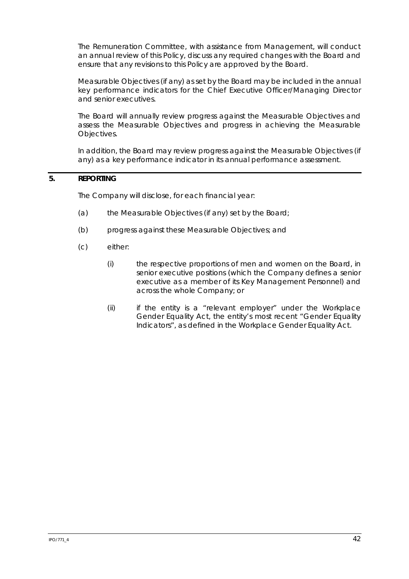The Remuneration Committee, with assistance from Management, will conduct an annual review of this Policy, discuss any required changes with the Board and ensure that any revisions to this Policy are approved by the Board.

Measurable Objectives (if any) as set by the Board may be included in the annual key performance indicators for the Chief Executive Officer/Managing Director and senior executives.

The Board will annually review progress against the Measurable Objectives and assess the Measurable Objectives and progress in achieving the Measurable Objectives.

In addition, the Board may review progress against the Measurable Objectives (if any) as a key performance indicator in its annual performance assessment.

# **5. REPORTING**

The Company will disclose, for each financial year:

- (a) the Measurable Objectives (if any) set by the Board;
- (b) progress against these Measurable Objectives; and
- (c) either:
	- (i) the respective proportions of men and women on the Board, in senior executive positions (which the Company defines a senior executive as a member of its Key Management Personnel) and across the whole Company; or
	- (ii) if the entity is a "relevant employer" under the Workplace Gender Equality Act, the entity's most recent "Gender Equality Indicators", as defined in the Workplace Gender Equality Act.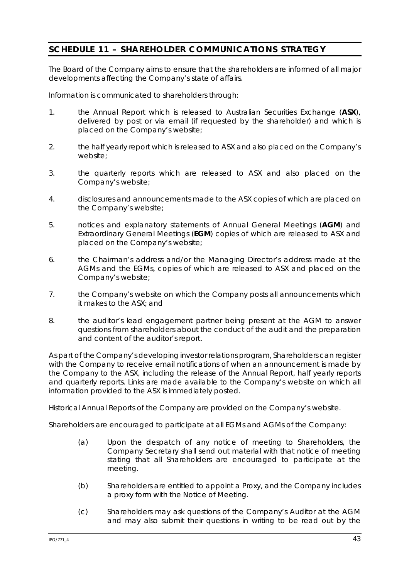# **SCHEDULE 11 – SHAREHOLDER COMMUNICATIONS STRATEGY**

The Board of the Company aims to ensure that the shareholders are informed of all major developments affecting the Company's state of affairs.

Information is communicated to shareholders through:

- 1. the Annual Report which is released to Australian Securities Exchange (**ASX**), delivered by post or via email (if requested by the shareholder) and which is placed on the Company's website;
- 2. the half yearly report which is released to ASX and also placed on the Company's website;
- 3. the quarterly reports which are released to ASX and also placed on the Company's website;
- 4. disclosures and announcements made to the ASX copies of which are placed on the Company's website;
- 5. notices and explanatory statements of Annual General Meetings (**AGM**) and Extraordinary General Meetings (**EGM**) copies of which are released to ASX and placed on the Company's website;
- 6. the Chairman's address and/or the Managing Director's address made at the AGMs and the EGMs, copies of which are released to ASX and placed on the Company's website;
- 7. the Company's website on which the Company posts all announcements which it makes to the ASX; and
- 8. the auditor's lead engagement partner being present at the AGM to answer questions from shareholders about the conduct of the audit and the preparation and content of the auditor's report.

As part of the Company's developing investor relations program, Shareholders can register with the Company to receive email notifications of when an announcement is made by the Company to the ASX, including the release of the Annual Report, half yearly reports and quarterly reports. Links are made available to the Company's website on which all information provided to the ASX is immediately posted.

Historical Annual Reports of the Company are provided on the Company's website.

Shareholders are encouraged to participate at all EGMs and AGMs of the Company:

- (a) Upon the despatch of any notice of meeting to Shareholders, the Company Secretary shall send out material with that notice of meeting stating that all Shareholders are encouraged to participate at the meeting.
- (b) Shareholders are entitled to appoint a Proxy, and the Company includes a proxy form with the Notice of Meeting.
- (c) Shareholders may ask questions of the Company's Auditor at the AGM and may also submit their questions in writing to be read out by the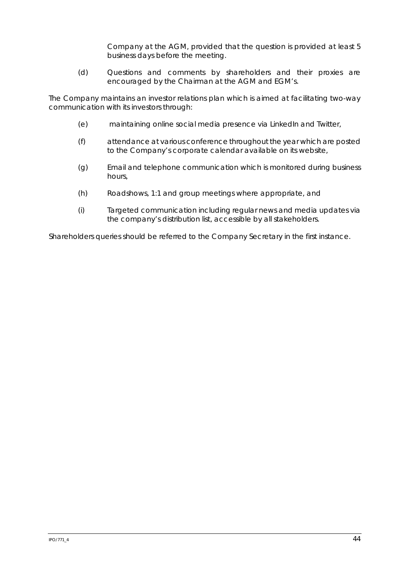Company at the AGM, provided that the question is provided at least 5 business days before the meeting.

(d) Questions and comments by shareholders and their proxies are encouraged by the Chairman at the AGM and EGM's.

The Company maintains an investor relations plan which is aimed at facilitating two-way communication with its investors through:

- (e) maintaining online social media presence via LinkedIn and Twitter,
- (f) attendance at various conference throughout the year which are posted to the Company's corporate calendar available on its website,
- (g) Email and telephone communication which is monitored during business hours,
- (h) Roadshows, 1:1 and group meetings where appropriate, and
- (i) Targeted communication including regular news and media updates via the company's distribution list, accessible by all stakeholders.

Shareholders queries should be referred to the Company Secretary in the first instance.